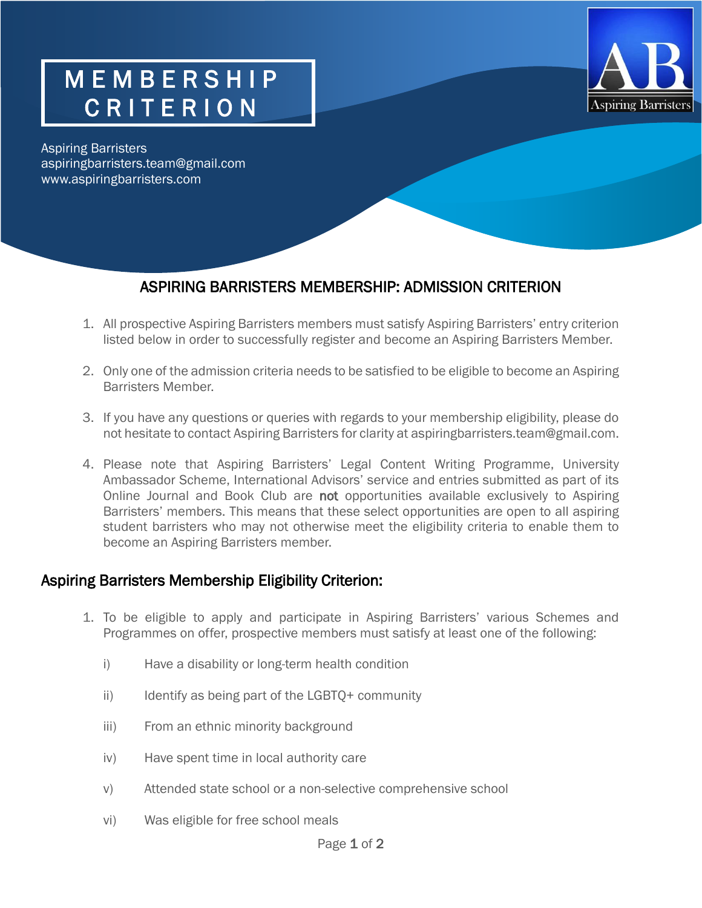## M E M B E R S H I P C R I T E R I O N



Aspiring Barristers aspiringbarristers.team@gmail.com www.aspiringbarristers.com

## ASPIRING BARRISTERS MEMBERSHIP: ADMISSION CRITERION

- 1. All prospective Aspiring Barristers members must satisfy Aspiring Barristers' entry criterion listed below in order to successfully register and become an Aspiring Barristers Member.
- 2. Only one of the admission criteria needs to be satisfied to be eligible to become an Aspiring Barristers Member.
- 3. If you have any questions or queries with regards to your membership eligibility, please do not hesitate to contact Aspiring Barristers for clarity at aspiringbarristers.team@gmail.com.
- 4. Please note that Aspiring Barristers' Legal Content Writing Programme, University Ambassador Scheme, International Advisors' service and entries submitted as part of its Online Journal and Book Club are not opportunities available exclusively to Aspiring Barristers' members. This means that these select opportunities are open to all aspiring student barristers who may not otherwise meet the eligibility criteria to enable them to become an Aspiring Barristers member.

## Aspiring Barristers Membership Eligibility Criterion:

- 1. To be eligible to apply and participate in Aspiring Barristers' various Schemes and Programmes on offer, prospective members must satisfy at least one of the following:
	- i) Have a disability or long-term health condition
	- ii) Identify as being part of the LGBTQ+ community
	- iii) From an ethnic minority background
	- iv) Have spent time in local authority care
	- v) Attended state school or a non-selective comprehensive school
	- vi) Was eligible for free school meals